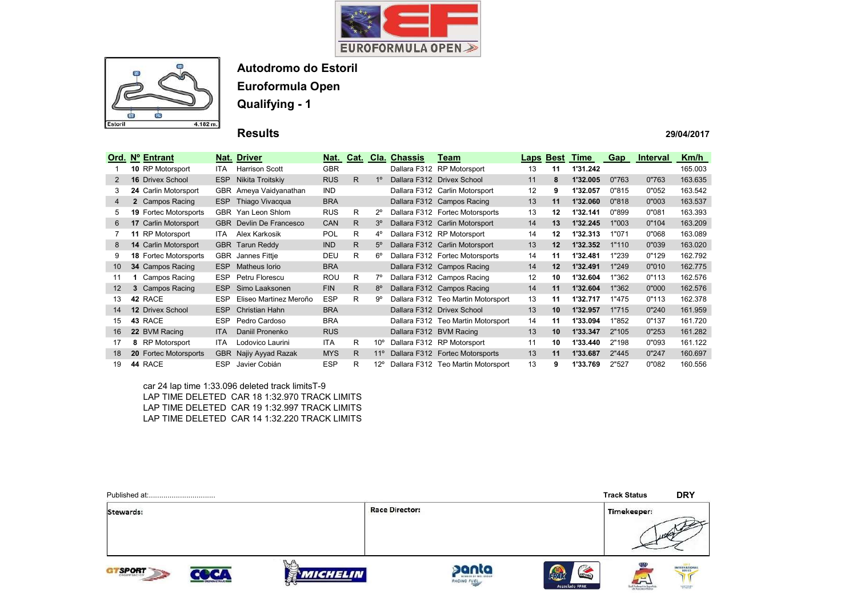



Euroformula Open

Qualifying - 1

### Results

#### 29/04/2017

| Ord. | Nº Entrant                   |            | Nat. Driver                    |            |    |                 | Nat. Cat. Cla. Chassis  | Team                               |    | <b>Laps Best</b> | Time     | Gap   | <b>Interval</b> | Km/h    |
|------|------------------------------|------------|--------------------------------|------------|----|-----------------|-------------------------|------------------------------------|----|------------------|----------|-------|-----------------|---------|
|      | <b>10 RP Motorsport</b>      | ITA.       | <b>Harrison Scott</b>          | <b>GBR</b> |    |                 |                         | Dallara F312 RP Motorsport         | 13 | 11               | 1'31.242 |       |                 | 165.003 |
| 2    | <b>16 Drivex School</b>      | <b>ESP</b> | Nikita Troitskiy               | <b>RUS</b> | R. | 1 <sup>0</sup>  |                         | Dallara F312 Drivex School         | 11 | 8                | 1'32.005 | 0"763 | 0"763           | 163.635 |
| 3    | 24 Carlin Motorsport         |            | GBR Ameya Vaidyanathan         | <b>IND</b> |    |                 |                         | Dallara F312 Carlin Motorsport     | 12 | 9                | 1'32.057 | 0"815 | 0"052           | 163.542 |
| 4    | 2 Campos Racing              | ESP        | Thiago Vivacqua                | <b>BRA</b> |    |                 |                         | Dallara F312 Campos Racing         | 13 | 11               | 1'32.060 | 0"818 | 0"003           | 163.537 |
| 5    | <b>19 Fortec Motorsports</b> |            | GBR Yan Leon Shlom             | <b>RUS</b> | R  | $2^{\circ}$     |                         | Dallara F312 Fortec Motorsports    | 13 | 12               | 1'32.141 | 0"899 | 0"081           | 163.393 |
| 6    | 17 Carlin Motorsport         |            | <b>GBR</b> Devlin De Francesco | <b>CAN</b> | R. | 3 <sup>o</sup>  |                         | Dallara F312 Carlin Motorsport     | 14 | 13               | 1'32.245 | 1"003 | 0"104           | 163.209 |
|      | 11 RP Motorsport             | ITA.       | Alex Karkosik                  | POL        | R  | $4^{\circ}$     |                         | Dallara F312 RP Motorsport         | 14 | 12               | 1'32.313 | 1"071 | 0"068           | 163.089 |
| 8    | <b>14 Carlin Motorsport</b>  |            | <b>GBR</b> Tarun Reddy         | <b>IND</b> | R. | $5^\circ$       |                         | Dallara F312 Carlin Motorsport     | 13 | 12               | 1'32.352 | 1"110 | 0"039           | 163.020 |
| 9    | <b>18 Fortec Motorsports</b> | <b>GBR</b> | Jannes Fittje                  | DEU        | R. | $6^{\circ}$     |                         | Dallara F312 Fortec Motorsports    | 14 | 11               | 1'32.481 | 1"239 | 0"129           | 162.792 |
| 10   | 34 Campos Racing             | ESP        | Matheus Iorio                  | <b>BRA</b> |    |                 |                         | Dallara F312 Campos Racing         | 14 | 12               | 1'32.491 | 1"249 | 0"010           | 162.775 |
| 11   | Campos Racing                | ESP.       | Petru Florescu                 | ROU        | R. | 7°              |                         | Dallara F312 Campos Racing         | 12 | 10               | 1'32.604 | 1"362 | 0"113           | 162.576 |
| 12   | 3 Campos Racing              | <b>ESP</b> | Simo Laaksonen                 | <b>FIN</b> | R. | $8^{\circ}$     |                         | Dallara F312 Campos Racing         | 14 | 11               | 1'32.604 | 1"362 | 0"000           | 162.576 |
| 13   | 42 RACE                      | <b>ESP</b> | Eliseo Martinez Meroño         | <b>ESP</b> | R. | 9°              |                         | Dallara F312 Teo Martin Motorsport | 13 | 11               | 1'32.717 | 1"475 | 0"113           | 162.378 |
| 14   | <b>12 Drivex School</b>      | ESP        | Christian Hahn                 | <b>BRA</b> |    |                 |                         | Dallara F312 Drivex School         | 13 | 10               | 1'32.957 | 1"715 | 0"240           | 161.959 |
| 15   | 43 RACE                      | ESP        | Pedro Cardoso                  | <b>BRA</b> |    |                 |                         | Dallara F312 Teo Martin Motorsport | 14 | 11               | 1'33.094 | 1"852 | 0"137           | 161.720 |
| 16   | 22 BVM Racing                | <b>ITA</b> | Daniil Pronenko                | <b>RUS</b> |    |                 | Dallara F312 BVM Racing |                                    | 13 | 10               | 1'33.347 | 2"105 | 0"253           | 161.282 |
| 17   | 8 RP Motorsport              | <b>ITA</b> | Lodovico Laurini               | <b>ITA</b> | R  | $10^{\circ}$    |                         | Dallara F312 RP Motorsport         | 11 | 10               | 1'33.440 | 2"198 | 0"093           | 161.122 |
| 18   | <b>20 Fortec Motorsports</b> | <b>GBR</b> | Najiy Ayyad Razak              | <b>MYS</b> | R. | 11 <sup>°</sup> |                         | Dallara F312 Fortec Motorsports    | 13 | 11               | 1'33.687 | 2"445 | 0"247           | 160.697 |
| 19   | 44 RACE                      | ESP        | Javier Cobián                  | <b>ESP</b> | R  | $12^{\circ}$    |                         | Dallara F312 Teo Martin Motorsport | 13 | 9                | 1'33.769 | 2"527 | 0"082           | 160.556 |

car 24 lap time 1:33.096 deleted track limitsT-9 LAP TIME DELETED CAR 18 1:32.970 TRACK LIMITS LAP TIME DELETED CAR 19 1:32.997 TRACK LIMITS LAP TIME DELETED CAR 14 1:32.220 TRACK LIMITS

|                   |                              |                       |                                              |                                           | <b>Track Status</b>     | <b>DRY</b>         |
|-------------------|------------------------------|-----------------------|----------------------------------------------|-------------------------------------------|-------------------------|--------------------|
| Stewards:         |                              | <b>Race Director:</b> |                                              |                                           | Timekeeper:             | 100 <sup>(n)</sup> |
| <b>SPORT</b><br>G | <i><b>MICHELIN</b></i><br>ਨਤ |                       | panta<br>MEMBER OF MAL SERIES<br>RACING FUEL | C 20<br>FPAK<br>ESTORIE<br>Associado FPAK | مسه<br>Real Fasbrusides | INTERNATIONAL      |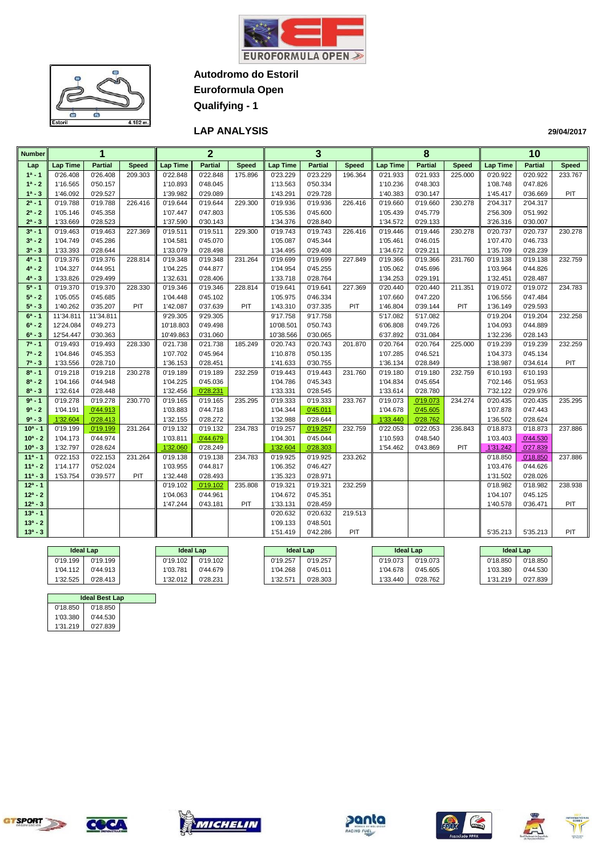



**Euroformula Open**

**Qualifying - 1**

### **LAP ANALYSIS**

| <b>Number</b> |                 | 1              |              |                 | $\overline{2}$ |              |                 | 3                      |              |                 | 8              |              |                 | 10             |              |
|---------------|-----------------|----------------|--------------|-----------------|----------------|--------------|-----------------|------------------------|--------------|-----------------|----------------|--------------|-----------------|----------------|--------------|
| Lap           | <b>Lap Time</b> | <b>Partial</b> | <b>Speed</b> | <b>Lap Time</b> | <b>Partial</b> | <b>Speed</b> | <b>Lap Time</b> | <b>Partial</b>         | <b>Speed</b> | <b>Lap Time</b> | <b>Partial</b> | <b>Speed</b> | <b>Lap Time</b> | <b>Partial</b> | <b>Speed</b> |
| $1a - 1$      | 0'26.408        | 0'26.408       | 209.303      | 0'22.848        | 0'22.848       | 175.896      | 0'23.229        | 0'23.229               | 196.364      | 0'21.933        | 0'21.933       | 225.000      | 0'20.922        | 0'20.922       | 233.767      |
| $1^a - 2$     | 1'16.565        | 0'50.157       |              | 1'10.893        | 0'48.045       |              | 1'13.563        | 0'50.334               |              | 1'10.236        | 0'48.303       |              | 1'08.748        | 0'47.826       |              |
| $1^a - 3$     | 1'46.092        | 0'29.527       |              | 1'39.982        | 0'29.089       |              | 1'43.291        | 0'29.728               |              | 1'40.383        | 0'30.147       |              | 1'45.417        | 0'36.669       | PIT          |
| $2^a - 1$     | 0'19.788        | 0'19.788       | 226.416      | 0'19.644        | 0'19.644       | 229.300      | 0'19.936        | 0'19.936               | 226.416      | 0'19.660        | 0'19.660       | 230.278      | 2'04.317        | 2'04.317       |              |
| $2^a - 2$     | 1'05.146        | 0'45.358       |              | 1'07.447        | 0'47.803       |              | 1'05.536        | 0'45.600               |              | 1'05.439        | 0'45.779       |              | 2'56.309        | 0'51.992       |              |
| $2^a - 3$     | 1'33.669        | 0'28.523       |              | 1'37.590        | 0'30.143       |              | 1'34.376        | 0'28.840               |              | 1'34.572        | 0'29.133       |              | 3'26.316        | 0'30.007       |              |
| $3^a - 1$     | 0'19.463        | 0'19.463       | 227.369      | 0'19.511        | 0'19.511       | 229.300      | 0'19.743        | 0'19.743               | 226.416      | 0'19.446        | 0'19.446       | 230.278      | 0'20.737        | 0'20.737       | 230.278      |
| $3^a - 2$     | 1'04.749        | 0'45.286       |              | 1'04.581        | 0'45.070       |              | 1'05.087        | 0'45.344               |              | 1'05.461        | 0'46.015       |              | 1'07.470        | 0'46.733       |              |
| $3^a - 3$     | 1'33.393        | 0'28.644       |              | 1'33.079        | 0'28.498       |              | 1'34.495        | 0'29.408               |              | 1'34.672        | 0'29.211       |              | 1'35.709        | 0'28.239       |              |
| $4^a - 1$     | 0'19.376        | 0'19.376       | 228.814      | 0'19.348        | 0'19.348       | 231.264      | 0'19.699        | 0'19.699               | 227.849      | 0'19.366        | 0'19.366       | 231.760      | 0'19.138        | 0'19.138       | 232.759      |
| $4^a - 2$     | 1'04.327        | 0'44.951       |              | 1'04.225        | 0'44.877       |              | 1'04.954        | 0'45.255               |              | 1'05.062        | 0'45.696       |              | 1'03.964        | 0'44.826       |              |
| $4^a - 3$     | 1'33.826        | 0'29.499       |              | 1'32.631        | 0'28.406       |              | 1'33.718        | 0'28.764               |              | 1'34.253        | 0'29.191       |              | 1'32.451        | 0'28.487       |              |
| $5^a - 1$     | 0'19.370        | 0'19.370       | 228.330      | 0'19.346        | 0'19.346       | 228.814      | 0'19.641        | 0'19.641               | 227.369      | 0'20.440        | 0'20.440       | 211.351      | 0'19.072        | 0'19.072       | 234.783      |
| $5^a - 2$     | 1'05.055        | 0'45.685       |              | 1'04.448        | 0'45.102       |              | 1'05.975        | 0'46.334               |              | 1'07.660        | 0'47.220       |              | 1'06.556        | 0'47.484       |              |
| $5^a - 3$     | 1'40.262        | 0'35.207       | PIT          | 1'42.087        | 0'37.639       | PIT          | 1'43.310        | 0'37.335               | <b>PIT</b>   | 1'46.804        | 0'39.144       | PIT          | 1'36.149        | 0'29.593       |              |
| $6^a - 1$     | 11'34.811       | 11'34.811      |              | 9'29.305        | 9'29.305       |              | 9'17.758        | 9'17.758               |              | 5'17.082        | 5'17.082       |              | 0'19.204        | 0'19.204       | 232.258      |
| $6^a - 2$     | 12'24.084       | 0'49.273       |              | 10'18.803       | 0'49.498       |              | 10'08.501       | 0'50.743               |              | 6'06.808        | 0'49.726       |              | 1'04.093        | 0'44.889       |              |
| $6^a - 3$     | 12'54.447       | 0'30.363       |              | 10'49.863       | 0'31.060       |              | 10'38.566       | 0'30.065               |              | 6'37.892        | 0'31.084       |              | 1'32.236        | 0'28.143       |              |
| $7^a - 1$     | 0'19.493        | 0'19.493       | 228.330      | 0'21.738        | 0'21.738       | 185.249      | 0'20.743        | $\overline{0}$ '20.743 | 201.870      | 0'20.764        | 0'20.764       | 225.000      | 0'19.239        | 0'19.239       | 232.259      |
| $7^a - 2$     | 1'04.846        | 0'45.353       |              | 1'07.702        | 0'45.964       |              | 1'10.878        | 0'50.135               |              | 1'07.285        | 0'46.521       |              | 1'04.373        | 0'45.134       |              |
| $7^a - 3$     | 1'33.556        | 0'28.710       |              | 1'36.153        | 0'28.451       |              | 1'41.633        | 0'30.755               |              | 1'36.134        | 0'28.849       |              | 1'38.987        | 0'34.614       | PIT          |
| $8^a - 1$     | 0'19.218        | 0'19.218       | 230.278      | 0'19.189        | 0'19.189       | 232.259      | 0'19.443        | 0'19.443               | 231.760      | 0'19.180        | 0'19.180       | 232.759      | 6'10.193        | 6'10.193       |              |
| $8^a - 2$     | 1'04.166        | 0'44.948       |              | 1'04.225        | 0'45.036       |              | 1'04.786        | 0'45.343               |              | 1'04.834        | 0'45.654       |              | 7'02.146        | 0'51.953       |              |
| $8^a - 3$     | 1'32.614        | 0'28.448       |              | 1'32.456        | 0'28.231       |              | 1'33.331        | 0'28.545               |              | 1'33.614        | 0'28.780       |              | 7'32.122        | 0'29.976       |              |
| $9a - 1$      | 0'19.278        | 0'19.278       | 230.770      | 0'19.165        | 0'19.165       | 235.295      | 0'19.333        | 0'19.333               | 233.767      | 0'19.073        | 0'19.073       | 234.274      | 0'20.435        | 0'20.435       | 235.295      |
| $9a - 2$      | 1'04.191        | 0'44.913       |              | 1'03.883        | 0'44.718       |              | 1'04.344        | 0'45.011               |              | 1'04.678        | 0'45.605       |              | 1'07.878        | 0'47.443       |              |
| $9^a - 3$     | 1'32.604        | 0'28.413       |              | 1'32.155        | 0'28.272       |              | 1'32.988        | 0'28.644               |              | 1'33.440        | 0'28.762       |              | 1'36.502        | 0'28.624       |              |
| $10a - 1$     | 0'19.199        | 0'19.199       | 231.264      | 0'19.132        | 0'19.132       | 234.783      | 0'19.257        | 0'19.257               | 232.759      | 0'22.053        | 0'22.053       | 236.843      | 0'18.873        | 0'18.873       | 237.886      |
| $10^a - 2$    | 1'04.173        | 0'44.974       |              | 1'03.811        | 0'44.679       |              | 1'04.301        | 0'45.044               |              | 1'10.593        | 0'48.540       |              | 1'03.403        | 0'44.530       |              |
| $10^a - 3$    | 1'32.797        | 0'28.624       |              | 1'32.060        | 0'28.249       |              | 1'32.604        | 0'28.303               |              | 1'54.462        | 0'43.869       | PIT          | 1'31.242        | 0'27.839       |              |
| $11a - 1$     | 0'22.153        | 0'22.153       | 231.264      | 0'19.138        | 0'19.138       | 234.783      | 0'19.925        | 0'19.925               | 233.262      |                 |                |              | 0'18.850        | 0'18.850       | 237.886      |
| $11a - 2$     | 1'14.177        | 0'52.024       |              | 1'03.955        | 0'44.817       |              | 1'06.352        | 0'46.427               |              |                 |                |              | 1'03.476        | 0'44.626       |              |
| $11a - 3$     | 1'53.754        | 0'39.577       | PIT          | 1'32.448        | 0'28.493       |              | 1'35.323        | 0'28.971               |              |                 |                |              | 1'31.502        | 0'28.026       |              |
| $12a - 1$     |                 |                |              | 0'19.102        | 0'19.102       | 235.808      | 0'19.321        | 0'19.321               | 232.259      |                 |                |              | 0'18.982        | 0'18.982       | 238.938      |
| $12^a - 2$    |                 |                |              | 1'04.063        | 0'44.961       |              | 1'04.672        | 0'45.351               |              |                 |                |              | 1'04.107        | 0'45.125       |              |
| $12^a - 3$    |                 |                |              | 1'47.244        | 0'43.181       | PIT          | 1'33.131        | 0'28.459               |              |                 |                |              | 1'40.578        | 0'36.471       | PIT          |
| $13a - 1$     |                 |                |              |                 |                |              | 0'20.632        | 0'20.632               | 219.513      |                 |                |              |                 |                |              |
| $13^a - 2$    |                 |                |              |                 |                |              | 1'09.133        | 0'48.501               |              |                 |                |              |                 |                |              |
| $13^a - 3$    |                 |                |              |                 |                |              | 1'51.419        | 0'42.286               | PIT          |                 |                |              | 5'35.213        | 5'35.213       | <b>PIT</b>   |

| <b>Ideal Lap</b> |          |          | <b>Ideal Lap</b> |          | <b>Ideal Lap</b> |          | <b>Ideal Lap</b> | <b>Ideal Lap</b> |          |
|------------------|----------|----------|------------------|----------|------------------|----------|------------------|------------------|----------|
| 0'19.199         | 0'19.199 | 0'19.102 | 0'19.102         | 0'19.257 | 0'19.257         | 0'19.073 | 0'19.073         | 0'18.850         | 0'18.850 |
| 1'04.112         | 0'44.913 | 1'03.781 | 0'44.679         | 1'04.268 | 0'45.011         | 1'04.678 | 0'45.605         | 1'03.380         | 0'44.530 |
| 1'32.525         | 0'28.413 | 1'32.012 | 0'28.231         | 1'32.571 | 0'28.303         | 1'33.440 | 0'28.762         | 1'31.219         | 0'27.839 |

|          | <b>Ideal Best Lap</b> |  |  |  |  |  |  |  |  |  |  |
|----------|-----------------------|--|--|--|--|--|--|--|--|--|--|
| 0'18.850 | 0'18.850              |  |  |  |  |  |  |  |  |  |  |
| 1'03.380 | 0'44.530              |  |  |  |  |  |  |  |  |  |  |
| 1'31.219 | 0'27.839              |  |  |  |  |  |  |  |  |  |  |

 $\overline{c}$ 











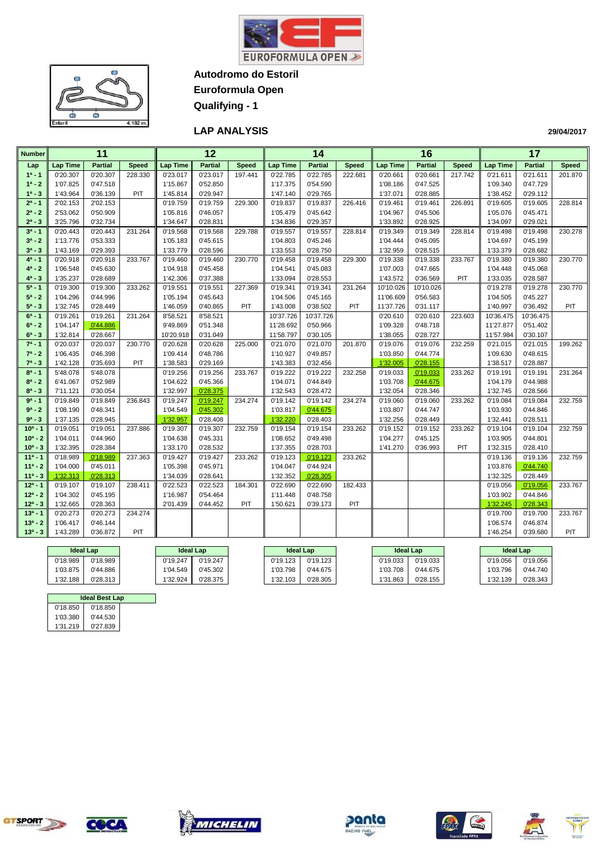



**Euroformula Open**

**Qualifying - 1**

### **LAP ANALYSIS**

| <b>Number</b> |                 | 11             |              |                 | $\overline{12}$ |              |                 | 14             |              |                 | 16             |              |                 | 17             |              |
|---------------|-----------------|----------------|--------------|-----------------|-----------------|--------------|-----------------|----------------|--------------|-----------------|----------------|--------------|-----------------|----------------|--------------|
| Lap           | <b>Lap Time</b> | <b>Partial</b> | <b>Speed</b> | <b>Lap Time</b> | <b>Partial</b>  | <b>Speed</b> | <b>Lap Time</b> | <b>Partial</b> | <b>Speed</b> | <b>Lap Time</b> | <b>Partial</b> | <b>Speed</b> | <b>Lap Time</b> | <b>Partial</b> | <b>Speed</b> |
| $1^a - 1$     | 0'20.307        | 0'20.307       | 228.330      | 0'23.017        | 0'23.017        | 197.441      | 0'22.785        | 0'22.785       | 222.681      | 0'20.661        | 0'20.661       | 217.742      | 0'21.611        | 0'21.611       | 201.870      |
| $1^a - 2$     | 1'07.825        | 0'47.518       |              | 1'15.867        | 0'52.850        |              | 1'17.375        | 0'54.590       |              | 1'08.186        | 0'47.525       |              | 1'09.340        | 0'47.729       |              |
| $1^a - 3$     | 1'43.964        | 0'36.139       | PIT          | 1'45.814        | 0'29.947        |              | 1'47.140        | 0'29.765       |              | 1'37.071        | 0'28.885       |              | 1'38.452        | 0'29.112       |              |
| $2^a - 1$     | 2'02.153        | 2'02.153       |              | 0'19.759        | 0'19.759        | 229.300      | 0'19.837        | 0'19.837       | 226.416      | 0'19.461        | 0'19.461       | 226.891      | 0'19.605        | 0'19.605       | 228.814      |
| $2^a - 2$     | 2'53.062        | 0'50.909       |              | 1'05.816        | 0'46.057        |              | 1'05.479        | 0'45.642       |              | 1'04.967        | 0'45.506       |              | 1'05.076        | 0'45.471       |              |
| $2^a - 3$     | 3'25.796        | 0'32.734       |              | 1'34.647        | 0'28.831        |              | 1'34.836        | 0'29.357       |              | 1'33.892        | 0'28.925       |              | 1'34.097        | 0'29.021       |              |
| $3^a - 1$     | 0'20.443        | 0'20.443       | 231.264      | 0'19.568        | 0'19.568        | 229.788      | 0'19.557        | 0'19.557       | 228.814      | 0'19.349        | 0'19.349       | 228.814      | 0'19.498        | 0'19.498       | 230.278      |
| $3^a - 2$     | 1'13.776        | 0'53.333       |              | 1'05.183        | 0'45.615        |              | 1'04.803        | 0'45.246       |              | 1'04.444        | 0'45.095       |              | 1'04.697        | 0'45.199       |              |
| $3^a - 3$     | 1'43.169        | 0'29.393       |              | 1'33.779        | 0'28.596        |              | 1'33.553        | 0'28.750       |              | 1'32.959        | 0'28.515       |              | 1'33.379        | 0'28.682       |              |
| $4^a - 1$     | 0'20.918        | 0'20.918       | 233.767      | 0'19.460        | 0'19.460        | 230.770      | 0'19.458        | 0'19.458       | 229.300      | 0'19.338        | 0'19.338       | 233.767      | 0'19.380        | 0'19.380       | 230.770      |
| $4^a - 2$     | 1'06.548        | 0'45.630       |              | 1'04.918        | 0'45.458        |              | 1'04.541        | 0'45.083       |              | 1'07.003        | 0'47.665       |              | 1'04.448        | 0'45.068       |              |
| $4^a - 3$     | 1'35.237        | 0'28.689       |              | 1'42.306        | 0'37.388        |              | 1'33.094        | 0'28.553       |              | 1'43.572        | 0'36.569       | PIT          | 1'33.035        | 0'28.587       |              |
| $5^a - 1$     | 0'19.300        | 0'19.300       | 233.262      | 0'19.551        | 0'19.551        | 227.369      | 0'19.341        | 0'19.341       | 231.264      | 10'10.026       | 10'10.026      |              | 0'19.278        | 0'19.278       | 230.770      |
| $5^a - 2$     | 1'04.296        | 0'44.996       |              | 1'05.194        | 0'45.643        |              | 1'04.506        | 0'45.165       |              | 11'06.609       | 0'56.583       |              | 1'04.505        | 0'45.227       |              |
| $5^a - 3$     | 1'32.745        | 0'28.449       |              | 1'46.059        | 0'40.865        | PIT          | 1'43.008        | 0'38.502       | PIT          | 11'37.726       | 0'31.117       |              | 1'40.997        | 0'36.492       | <b>PIT</b>   |
| $6^a - 1$     | 0'19.261        | 0'19.261       | 231.264      | 8'58.521        | 8'58.521        |              | 10'37.726       | 10'37.726      |              | 0'20.610        | 0'20.610       | 223.603      | 10'36.475       | 10'36.475      |              |
| $6^a - 2$     | 1'04.147        | 0'44.886       |              | 9'49.869        | 0'51.348        |              | 11'28.692       | 0'50.966       |              | 1'09.328        | 0'48.718       |              | 11'27.877       | 0'51.402       |              |
| $6^a - 3$     | 1'32.814        | 0'28.667       |              | 10'20.918       | 0'31.049        |              | 11'58.797       | 0'30.105       |              | 1'38.055        | 0'28.727       |              | 11'57.984       | 0'30.107       |              |
| $7^a - 1$     | 0'20.037        | 0'20.037       | 230.770      | 0'20.628        | 0'20.628        | 225.000      | 0'21.070        | 0'21.070       | 201.870      | 0'19.076        | 0'19.076       | 232.259      | 0'21.015        | 0'21.015       | 199.262      |
| $7^a - 2$     | 1'06.435        | 0'46.398       |              | 1'09.414        | 0'48.786        |              | 1'10.927        | 0'49.857       |              | 1'03.850        | 0'44.774       |              | 1'09.630        | 0'48.615       |              |
| $7^a - 3$     | 1'42.128        | 0'35.693       | PIT          | 1'38.583        | 0'29.169        |              | 1'43.383        | 0'32.456       |              | 1'32.005        | 0'28.155       |              | 1'38.517        | 0'28.887       |              |
| $8^a - 1$     | 5'48.078        | 5'48.078       |              | 0'19.256        | 0'19.256        | 233.767      | 0'19.222        | 0'19.222       | 232.258      | 0'19.033        | 0'19.033       | 233.262      | 0'19.191        | 0'19.191       | 231.264      |
| $8^a - 2$     | 6'41.067        | 0'52.989       |              | 1'04.622        | 0'45.366        |              | 1'04.071        | 0'44.849       |              | 1'03.708        | 0'44.675       |              | 1'04.179        | 0'44.988       |              |
| $8^a - 3$     | 7'11.121        | 0'30.054       |              | 1'32.997        | 0'28.375        |              | 1'32.543        | 0'28.472       |              | 1'32.054        | 0'28.346       |              | 1'32.745        | 0'28.566       |              |
| $9a - 1$      | 0'19.849        | 0'19.849       | 236.843      | 0'19.247        | 0'19.247        | 234.274      | 0'19.142        | 0'19.142       | 234.274      | 0'19.060        | 0'19.060       | 233.262      | 0'19.084        | 0'19.084       | 232.759      |
| $9^a - 2$     | 1'08.190        | 0'48.341       |              | 1'04.549        | 0'45.302        |              | 1'03.817        | 0'44.675       |              | 1'03.807        | 0'44.747       |              | 1'03.930        | 0'44.846       |              |
| $9^a - 3$     | 1'37.135        | 0'28.945       |              | 1'32.957        | 0'28.408        |              | 1'32.220        | 0'28.403       |              | 1'32.256        | 0'28.449       |              | 1'32.441        | 0'28.511       |              |
| $10^{a} - 1$  | 0'19.051        | 0'19.051       | 237.886      | 0'19.307        | 0'19.307        | 232.759      | 0'19.154        | 0'19.154       | 233.262      | 0'19.152        | 0'19.152       | 233.262      | 0'19.104        | 0'19.104       | 232.759      |
| $10^a - 2$    | 1'04.011        | 0'44.960       |              | 1'04.638        | 0'45.331        |              | 1'08.652        | 0'49.498       |              | 1'04.277        | 0'45.125       |              | 1'03.905        | 0'44.801       |              |
| $10^a - 3$    | 1'32.395        | 0'28.384       |              | 1'33.170        | 0'28.532        |              | 1'37.355        | 0'28.703       |              | 1'41.270        | 0'36.993       | PIT          | 1'32.315        | 0'28.410       |              |
| $11a - 1$     | 0'18.989        | 0'18.989       | 237.363      | 0'19.427        | 0'19.427        | 233.262      | 0'19.123        | 0'19.123       | 233.262      |                 |                |              | 0'19.136        | 0'19.136       | 232.759      |
| $11a - 2$     | 1'04.000        | 0'45.011       |              | 1'05.398        | 0'45.971        |              | 1'04.047        | 0'44.924       |              |                 |                |              | 1'03.876        | 0'44.740       |              |
| $11a - 3$     | 1'32.313        | 0'28.313       |              | 1'34.039        | 0'28.641        |              | 1'32.352        | 0'28.305       |              |                 |                |              | 1'32.325        | 0'28.449       |              |
| $12^a - 1$    | 0'19.107        | 0'19.107       | 238.411      | 0'22.523        | 0'22.523        | 184.301      | 0'22.690        | 0'22.690       | 182.433      |                 |                |              | 0'19.056        | 0'19.056       | 233.767      |
| $12^a - 2$    | 1'04.302        | 0'45.195       |              | 1'16.987        | 0'54.464        |              | 1'11.448        | 0'48.758       |              |                 |                |              | 1'03.902        | 0'44.846       |              |
| $12^a - 3$    | 1'32.665        | 0'28.363       |              | 2'01.439        | 0'44.452        | PIT          | 1'50.621        | 0'39.173       | PIT          |                 |                |              | 1'32.245        | 0'28.343       |              |
| $13a - 1$     | 0'20.273        | 0'20.273       | 234.274      |                 |                 |              |                 |                |              |                 |                |              | 0'19.700        | 0'19.700       | 233.767      |
| $13^a - 2$    | 1'06.417        | 0'46.144       |              |                 |                 |              |                 |                |              |                 |                |              | 1'06.574        | 0'46.874       |              |
| $13^a - 3$    | 1'43.289        | 0'36.872       | PIT          |                 |                 |              |                 |                |              |                 |                |              | 1'46.254        | 0'39.680       | PIT          |

| <b>Ideal Lap</b> |          |          | <b>Ideal Lap</b> |          | <b>Ideal Lap</b> | <b>Ideal Lap</b> |          | <b>Ideal Lap</b> |          |
|------------------|----------|----------|------------------|----------|------------------|------------------|----------|------------------|----------|
| 0'18.989         | 0'18.989 | 0'19.247 | 0'19.247         | 0'19.123 | 0'19.123         | 0'19.033         | 0'19.033 | 0'19.056         | 0'19.056 |
| 1'03.875         | 0'44.886 | 1'04.549 | 0'45.302         | 1'03.798 | 0'44.675         | 1'03.708         | 0'44.675 | 1'03.796         | 0'44.740 |
| 1'32.188         | 0'28.313 | 1'32.924 | 0'28.375         | 1'32.103 | 0'28.305         | 1'31.863         | 0'28.155 | 1'32.139         | 0'28.343 |

|          |          | <b>Ideal Best Lap</b> |  |  |  |  |  |  |  |  |  |  |
|----------|----------|-----------------------|--|--|--|--|--|--|--|--|--|--|
| 0'18.850 | 0'18.850 |                       |  |  |  |  |  |  |  |  |  |  |
| 1'03.380 | 0'44.530 |                       |  |  |  |  |  |  |  |  |  |  |
| 1'31.219 | 0'27.839 |                       |  |  |  |  |  |  |  |  |  |  |











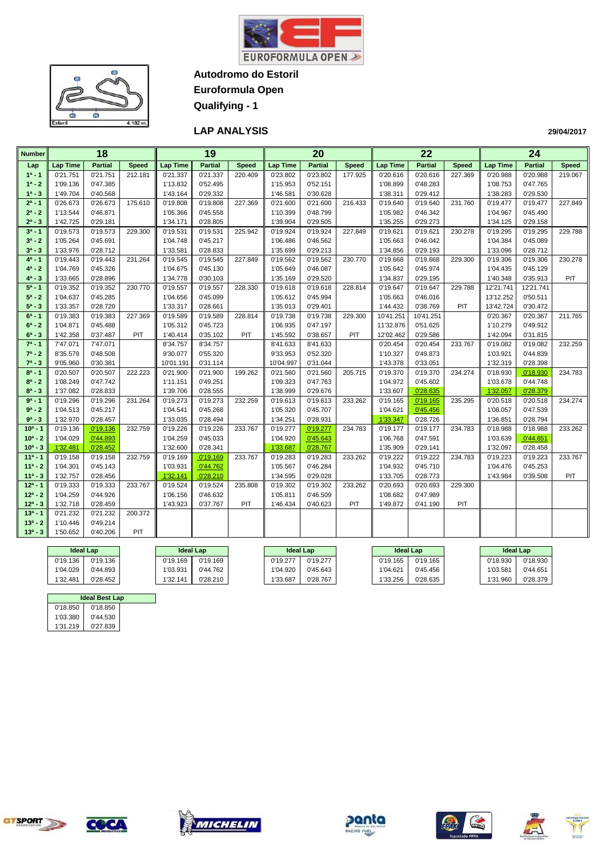



**Euroformula Open**

**Qualifying - 1**

### **LAP ANALYSIS**

| <b>Number</b> |                 | 18             |              |                 | $\overline{19}$ |              |                 | $\overline{20}$ |              |                 | $\overline{22}$ |              |                 | 24             |              |
|---------------|-----------------|----------------|--------------|-----------------|-----------------|--------------|-----------------|-----------------|--------------|-----------------|-----------------|--------------|-----------------|----------------|--------------|
| Lap           | <b>Lap Time</b> | <b>Partial</b> | <b>Speed</b> | <b>Lap Time</b> | <b>Partial</b>  | <b>Speed</b> | <b>Lap Time</b> | <b>Partial</b>  | <b>Speed</b> | <b>Lap Time</b> | <b>Partial</b>  | <b>Speed</b> | <b>Lap Time</b> | <b>Partial</b> | <b>Speed</b> |
| $1a - 1$      | 0'21.751        | 0'21.751       | 212.181      | 0'21.337        | 0'21.337        | 220.409      | 0'23.802        | 0'23.802        | 177.925      | 0'20.616        | 0'20.616        | 227.369      | 0'20.988        | 0'20.988       | 219.067      |
| $1^a - 2$     | 1'09.136        | 0'47.385       |              | 1'13.832        | 0'52.495        |              | 1'15.953        | 0'52.151        |              | 1'08.899        | 0'48.283        |              | 1'08.753        | 0'47.765       |              |
| $1^a - 3$     | 1'49.704        | 0'40.568       |              | 1'43.164        | 0'29.332        |              | 1'46.581        | 0'30.628        |              | 1'38.311        | 0'29.412        |              | 1'38.283        | 0'29.530       |              |
| $2^a - 1$     | 0'26.673        | 0'26.673       | 175.610      | 0'19.808        | 0'19.808        | 227.369      | 0'21.600        | 0'21.600        | 216.433      | 0'19.640        | 0'19.640        | 231.760      | 0'19.477        | 0'19.477       | 227.849      |
| $2^a - 2$     | 1'13.544        | 0'46.871       |              | 1'05.366        | 0'45.558        |              | 1'10.399        | 0'48.799        |              | 1'05.982        | 0'46.342        |              | 1'04.967        | 0'45.490       |              |
| $2^a - 3$     | 1'42.725        | 0'29.181       |              | 1'34.171        | 0'28.805        |              | 1'39.904        | 0'29.505        |              | 1'35.255        | 0'29.273        |              | 1'34.125        | 0'29.158       |              |
| $3^a - 1$     | 0'19.573        | 0'19.573       | 229.300      | 0'19.531        | 0'19.531        | 225.942      | 0'19.924        | 0'19.924        | 227.849      | 0'19.621        | 0'19.621        | 230.278      | 0'19.295        | 0'19.295       | 229.788      |
| $3^a - 2$     | 1'05.264        | 0'45.691       |              | 1'04.748        | 0'45.217        |              | 1'06.486        | 0'46.562        |              | 1'05.663        | 0'46.042        |              | 1'04.384        | 0'45.089       |              |
| $3^a - 3$     | 1'33.976        | 0'28.712       |              | 1'33.581        | 0'28.833        |              | 1'35.699        | 0'29.213        |              | 1'34.856        | 0'29.193        |              | 1'33.096        | 0'28.712       |              |
| $4^a - 1$     | 0'19.443        | 0'19.443       | 231.264      | 0'19.545        | 0'19.545        | 227.849      | 0'19.562        | 0'19.562        | 230.770      | 0'19.668        | 0'19.668        | 229.300      | 0'19.306        | 0'19.306       | 230.278      |
| $4^a - 2$     | 1'04.769        | 0'45.326       |              | 1'04.675        | 0'45.130        |              | 1'05.649        | 0'46.087        |              | 1'05.642        | 0'45.974        |              | 1'04.435        | 0'45.129       |              |
| $4^a - 3$     | 1'33.665        | 0'28.896       |              | 1'34.778        | 0'30.103        |              | 1'35.169        | 0'29.520        |              | 1'34.837        | 0'29.195        |              | 1'40.348        | 0'35.913       | PIT          |
| $5^a - 1$     | 0'19.352        | 0'19.352       | 230.770      | 0'19.557        | 0'19.557        | 228.330      | 0'19.618        | 0'19.618        | 228.814      | 0'19.647        | 0'19.647        | 229.788      | 12'21.741       | 12'21.741      |              |
| $5^a - 2$     | 1'04.637        | 0'45.285       |              | 1'04.656        | 0'45.099        |              | 1'05.612        | 0'45.994        |              | 1'05.663        | 0'46.016        |              | 13'12.252       | 0'50.511       |              |
| $5^a - 3$     | 1'33.357        | 0'28.720       |              | 1'33.317        | 0'28.661        |              | 1'35.013        | 0'29.401        |              | 1'44.432        | 0'38.769        | PIT          | 13'42.724       | 0'30.472       |              |
| $6^a - 1$     | 0'19.383        | 0'19.383       | 227.369      | 0'19.589        | 0'19.589        | 228.814      | 0'19.738        | 0'19.738        | 229.300      | 10'41.251       | 10'41.251       |              | 0'20.367        | 0'20.367       | 211.765      |
| $6^a - 2$     | 1'04.871        | 0'45.488       |              | 1'05.312        | 0'45.723        |              | 1'06.935        | 0'47.197        |              | 11'32.876       | 0'51.625        |              | 1'10.279        | 0'49.912       |              |
| $6^a - 3$     | 1'42.358        | 0'37.487       | PIT          | 1'40.414        | 0'35.102        | PIT          | 1'45.592        | 0'38.657        | PIT          | 12'02.462       | 0'29.586        |              | 1'42.094        | 0'31.815       |              |
| $7^a - 1$     | 7'47.071        | 7'47.071       |              | 8'34.757        | 8'34.757        |              | 8'41.633        | 8'41.633        |              | 0'20.454        | 0'20.454        | 233.767      | 0'19.082        | 0'19.082       | 232.259      |
| $7^a - 2$     | 8'35.579        | 0'48.508       |              | 9'30.077        | 0'55.320        |              | 9'33.953        | 0'52.320        |              | 1'10.327        | 0'49.873        |              | 1'03.921        | 0'44.839       |              |
| $7^a - 3$     | 9'05.960        | 0'30.381       |              | 10'01.191       | 0'31.114        |              | 10'04.997       | 0'31.044        |              | 1'43.378        | 0'33.051        |              | 1'32.319        | 0'28.398       |              |
| $8^a - 1$     | 0'20.507        | 0'20.507       | 222.223      | 0'21.900        | 0'21.900        | 199.262      | 0'21.560        | 0'21.560        | 205.715      | 0'19.370        | 0'19.370        | 234.274      | 0'18.930        | 0'18.930       | 234.783      |
| $8^a - 2$     | 1'08.249        | 0'47.742       |              | 1'11.151        | 0'49.251        |              | 1'09.323        | 0'47.763        |              | 1'04.972        | 0'45.602        |              | 1'03.678        | 0'44.748       |              |
| $8^a - 3$     | 1'37.082        | 0'28.833       |              | 1'39.706        | 0'28.555        |              | 1'38.999        | 0'29.676        |              | 1'33.607        | 0'28.635        |              | 1'32.057        | 0'28.379       |              |
| $9a - 1$      | 0'19.296        | 0'19.296       | 231.264      | 0'19.273        | 0'19.273        | 232.259      | 0'19.613        | 0'19.613        | 233.262      | 0'19.165        | 0'19.165        | 235.295      | 0'20.518        | 0'20.518       | 234.274      |
| $9a - 2$      | 1'04.513        | 0'45.217       |              | 1'04.541        | 0'45.268        |              | 1'05.320        | 0'45.707        |              | 1'04.621        | 0'45.456        |              | 1'08.057        | 0'47.539       |              |
| $9^a - 3$     | 1'32.970        | 0'28.457       |              | 1'33.035        | 0'28.494        |              | 1'34.251        | 0'28.931        |              | 1'33.347        | 0'28.726        |              | 1'36.851        | 0'28.794       |              |
| $10^a - 1$    | 0'19.136        | 0'19.136       | 232.759      | 0'19.226        | 0'19.226        | 233.767      | 0'19.277        | 0'19.277        | 234.783      | 0'19.177        | 0'19.177        | 234.783      | 0'18.988        | 0'18.988       | 233.262      |
| $10^a - 2$    | 1'04.029        | 0'44.893       |              | 1'04.259        | 0'45.033        |              | 1'04.920        | 0'45.643        |              | 1'06.768        | 0'47.591        |              | 1'03.639        | 0'44.651       |              |
| $10^a - 3$    | 1'32.481        | 0'28.452       |              | 1'32.600        | 0'28.341        |              | 1'33.687        | 0'28.767        |              | 1'35.909        | 0'29.141        |              | 1'32.097        | 0'28.458       |              |
| $11a - 1$     | 0'19.158        | 0'19.158       | 232.759      | 0'19.169        | 0'19.169        | 233.767      | 0'19.283        | 0'19.283        | 233.262      | 0'19.222        | 0'19.222        | 234.783      | 0'19.223        | 0'19.223       | 233.767      |
| $11a - 2$     | 1'04.301        | 0'45.143       |              | 1'03.931        | 0'44.762        |              | 1'05.567        | 0'46.284        |              | 1'04.932        | 0'45.710        |              | 1'04.476        | 0'45.253       |              |
| $11a - 3$     | 1'32.757        | 0'28.456       |              | 1'32.141        | 0'28.210        |              | 1'34.595        | 0'29.028        |              | 1'33.705        | 0'28.773        |              | 1'43.984        | 0'39.508       | PIT          |
| $12^a - 1$    | 0'19.333        | 0'19.333       | 233.767      | 0'19.524        | 0'19.524        | 235.808      | 0'19.302        | 0'19.302        | 233.262      | 0'20.693        | 0'20.693        | 229.300      |                 |                |              |
| $12a - 2$     | 1'04.259        | 0'44.926       |              | 1'06.156        | 0'46.632        |              | 1'05.811        | 0'46.509        |              | 1'08.682        | 0'47.989        |              |                 |                |              |
| $12^a - 3$    | 1'32.718        | 0'28.459       |              | 1'43.923        | 0'37.767        | PIT          | 1'46.434        | 0'40.623        | PIT          | 1'49.872        | 0'41.190        | PIT          |                 |                |              |
| $13a - 1$     | 0'21.232        | 0'21.232       | 200.372      |                 |                 |              |                 |                 |              |                 |                 |              |                 |                |              |
| $13^a - 2$    | 1'10.446        | 0'49.214       |              |                 |                 |              |                 |                 |              |                 |                 |              |                 |                |              |
| $13^a - 3$    | 1'50.652        | 0'40.206       | PIT          |                 |                 |              |                 |                 |              |                 |                 |              |                 |                |              |

|          | <b>Ideal Lap</b> |          | <b>Ideal Lap</b> |          | <b>Ideal Lap</b> | <b>Ideal Lap</b> |          | <b>Ideal Lap</b> |          |
|----------|------------------|----------|------------------|----------|------------------|------------------|----------|------------------|----------|
| 0'19.136 | 0'19.136         | 0'19.169 | 0'19.169         | 0'19.277 | 0'19.277         | 0'19.165         | 0'19.165 | 0'18.930         | 0'18.930 |
| 1'04.029 | 0'44.893         | 1'03.931 | 0'44.762         | 1'04.920 | 0'45.643         | 1'04.621         | 0'45.456 | 1'03.581         | 0'44.651 |
| 1'32.481 | 0'28.452         | 1'32.141 | 0'28.210         | 1'33.687 | 0'28.767         | 1'33.256         | 0'28.635 | 1'31.960         | 0'28.379 |

|          | <b>Ideal Best Lap</b> |  |
|----------|-----------------------|--|
| 0'18.850 | 0'18.850              |  |
| 1'03.380 | 0'44.530              |  |
| 1'31.219 | 0'27.839              |  |









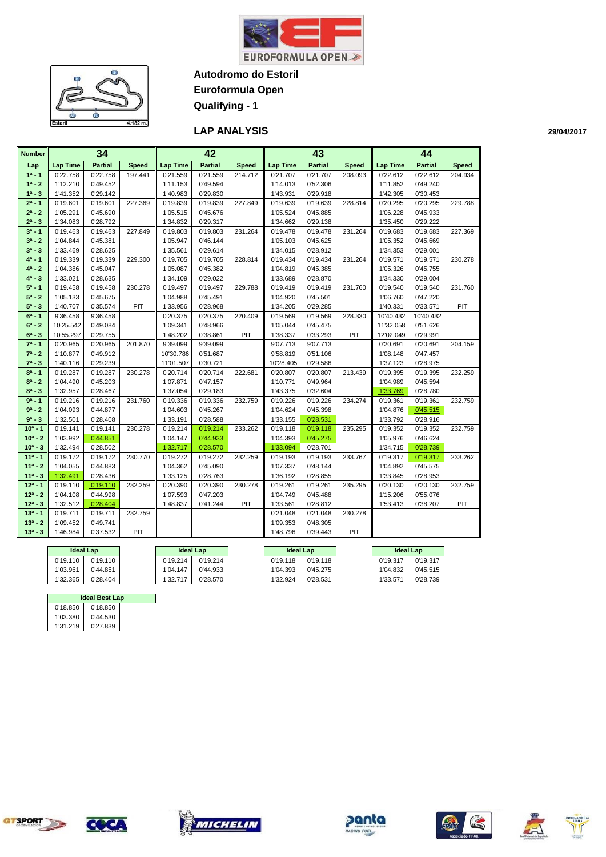

Le<br>S  $\bullet$ œ  $4.182 m$ Fetori

**Autodromo do Estoril Euroformula Open**

**Qualifying - 1**

### **LAP ANALYSIS**

| <b>Number</b> |                 | 34             |              |           | 42             |              |                 | 43             |              |           | 44             |              |
|---------------|-----------------|----------------|--------------|-----------|----------------|--------------|-----------------|----------------|--------------|-----------|----------------|--------------|
| Lap           | <b>Lap Time</b> | <b>Partial</b> | <b>Speed</b> | Lap Time  | <b>Partial</b> | <b>Speed</b> | <b>Lap Time</b> | <b>Partial</b> | <b>Speed</b> | Lap Time  | <b>Partial</b> | <b>Speed</b> |
| $1^a - 1$     | 0'22.758        | 0'22.758       | 197.441      | 0'21.559  | 0'21.559       | 214.712      | 0'21.707        | 0'21.707       | 208.093      | 0'22.612  | 0'22.612       | 204.934      |
| $1^a - 2$     | 1'12.210        | 0'49.452       |              | 1'11.153  | 0'49.594       |              | 1'14.013        | 0'52.306       |              | 1'11.852  | 0'49.240       |              |
| $1^a - 3$     | 1'41.352        | 0'29.142       |              | 1'40.983  | 0'29.830       |              | 1'43.931        | 0'29.918       |              | 1'42.305  | 0'30.453       |              |
| $2^a - 1$     | 0'19.601        | 0'19.601       | 227.369      | 0'19.839  | 0'19.839       | 227.849      | 0'19.639        | 0'19.639       | 228.814      | 0'20.295  | 0'20.295       | 229.788      |
| $2^a - 2$     | 1'05.291        | 0'45.690       |              | 1'05.515  | 0'45.676       |              | 1'05.524        | 0'45.885       |              | 1'06.228  | 0'45.933       |              |
| $2^a - 3$     | 1'34.083        | 0'28.792       |              | 1'34.832  | 0'29.317       |              | 1'34.662        | 0'29.138       |              | 1'35.450  | 0'29.222       |              |
| $3^a - 1$     | 0'19.463        | 0'19.463       | 227.849      | 0'19.803  | 0'19.803       | 231.264      | 0'19.478        | 0'19.478       | 231.264      | 0'19.683  | 0'19.683       | 227.369      |
| $3a - 2$      | 1'04.844        | 0'45.381       |              | 1'05.947  | 0'46.144       |              | 1'05.103        | 0'45.625       |              | 1'05.352  | 0'45.669       |              |
| $3^a - 3$     | 1'33.469        | 0'28.625       |              | 1'35.561  | 0'29.614       |              | 1'34.015        | 0'28.912       |              | 1'34.353  | 0'29.001       |              |
| $4^a - 1$     | 0'19.339        | 0'19.339       | 229.300      | 0'19.705  | 0'19.705       | 228.814      | 0'19.434        | 0'19.434       | 231.264      | 0'19.571  | 0'19.571       | 230.278      |
| $4^a - 2$     | 1'04.386        | 0'45.047       |              | 1'05.087  | 0'45.382       |              | 1'04.819        | 0'45.385       |              | 1'05.326  | 0'45.755       |              |
| $4^a - 3$     | 1'33.021        | 0'28.635       |              | 1'34.109  | 0'29.022       |              | 1'33.689        | 0'28.870       |              | 1'34.330  | 0'29.004       |              |
| $5^a - 1$     | 0'19.458        | 0'19.458       | 230.278      | 0'19.497  | 0'19.497       | 229.788      | 0'19.419        | 0'19.419       | 231.760      | 0'19.540  | 0'19.540       | 231.760      |
| $5^a - 2$     | 1'05.133        | 0'45.675       |              | 1'04.988  | 0'45.491       |              | 1'04.920        | 0'45.501       |              | 1'06.760  | 0'47.220       |              |
| $5^a - 3$     | 1'40.707        | 0'35.574       | PIT          | 1'33.956  | 0'28.968       |              | 1'34.205        | 0'29.285       |              | 1'40.331  | 0'33.571       | PIT          |
| $6^a - 1$     | 9'36.458        | 9'36.458       |              | 0'20.375  | 0'20.375       | 220.409      | 0'19.569        | 0'19.569       | 228.330      | 10'40.432 | 10'40.432      |              |
| $6^a - 2$     | 10'25.542       | 0'49.084       |              | 1'09.341  | 0'48.966       |              | 1'05.044        | 0'45.475       |              | 11'32.058 | 0'51.626       |              |
| $6^a - 3$     | 10'55.297       | 0'29.755       |              | 1'48.202  | 0'38.861       | PIT          | 1'38.337        | 0'33.293       | PIT          | 12'02.049 | 0'29.991       |              |
| $7^a - 1$     | 0'20.965        | 0'20.965       | 201.870      | 9'39.099  | 9'39.099       |              | 9'07.713        | 9'07.713       |              | 0'20.691  | 0'20.691       | 204.159      |
| $7^a - 2$     | 1'10.877        | 0'49.912       |              | 10'30.786 | 0'51.687       |              | 9'58.819        | 0'51.106       |              | 1'08.148  | 0'47.457       |              |
| $7^a - 3$     | 1'40.116        | 0'29.239       |              | 11'01.507 | 0'30.721       |              | 10'28.405       | 0'29.586       |              | 1'37.123  | 0'28.975       |              |
| $8^a - 1$     | 0'19.287        | 0'19.287       | 230.278      | 0'20.714  | 0'20.714       | 222.681      | 0'20.807        | 0'20.807       | 213.439      | 0'19.395  | 0'19.395       | 232.259      |
| $8^a - 2$     | 1'04.490        | 0'45.203       |              | 1'07.871  | 0'47.157       |              | 1'10.771        | 0'49.964       |              | 1'04.989  | 0'45.594       |              |
| $8^a - 3$     | 1'32.957        | 0'28.467       |              | 1'37.054  | 0'29.183       |              | 1'43.375        | 0'32.604       |              | 1'33.769  | 0'28.780       |              |
| $9a - 1$      | 0'19.216        | 0'19.216       | 231.760      | 0'19.336  | 0'19.336       | 232.759      | 0'19.226        | 0'19.226       | 234.274      | 0'19.361  | 0'19.361       | 232.759      |
| $9a - 2$      | 1'04.093        | 0'44.877       |              | 1'04.603  | 0'45.267       |              | 1'04.624        | 0'45.398       |              | 1'04.876  | 0'45.515       |              |
| $9a - 3$      | 1'32.501        | 0'28.408       |              | 1'33.191  | 0'28.588       |              | 1'33.155        | 0'28.531       |              | 1'33.792  | 0'28.916       |              |
| $10a - 1$     | 0'19.141        | 0'19.141       | 230.278      | 0'19.214  | 0'19.214       | 233.262      | 0'19.118        | 0'19.118       | 235.295      | 0'19.352  | 0'19.352       | 232.759      |
| $10^a - 2$    | 1'03.992        | 0'44.851       |              | 1'04.147  | 0'44.933       |              | 1'04.393        | 0'45.275       |              | 1'05.976  | 0'46.624       |              |
| $10^a - 3$    | 1'32.494        | 0'28.502       |              | 1'32.717  | 0'28.570       |              | 1'33.094        | 0'28.701       |              | 1'34.715  | 0'28.739       |              |
| $11a - 1$     | 0'19.172        | 0'19.172       | 230.770      | 0'19.272  | 0'19.272       | 232.259      | 0'19.193        | 0'19.193       | 233.767      | 0'19.317  | 0'19.317       | 233.262      |
| $11a - 2$     | 1'04.055        | 0'44.883       |              | 1'04.362  | 0'45.090       |              | 1'07.337        | 0'48.144       |              | 1'04.892  | 0'45.575       |              |
| $11a - 3$     | 1'32.491        | 0'28.436       |              | 1'33.125  | 0'28.763       |              | 1'36.192        | 0'28.855       |              | 1'33.845  | 0'28.953       |              |
| $12a - 1$     | 0'19.110        | 0'19.110       | 232.259      | 0'20.390  | 0'20.390       | 230.278      | 0'19.261        | 0'19.261       | 235.295      | 0'20.130  | 0'20.130       | 232.759      |
| $12^a - 2$    | 1'04.108        | 0'44.998       |              | 1'07.593  | 0'47.203       |              | 1'04.749        | 0'45.488       |              | 1'15.206  | 0'55.076       |              |
| $12^a - 3$    | 1'32.512        | 0'28.404       |              | 1'48.837  | 0'41.244       | PIT          | 1'33.561        | 0'28.812       |              | 1'53.413  | 0'38.207       | PIT          |
| $13a - 1$     | 0'19.711        | 0'19.711       | 232.759      |           |                |              | 0'21.048        | 0'21.048       | 230.278      |           |                |              |
| $13a - 2$     | 1'09.452        | 0'49.741       |              |           |                |              | 1'09.353        | 0'48.305       |              |           |                |              |
| $13^a - 3$    | 1'46.984        | 0'37.532       | PIT          |           |                |              | 1'48.796        | 0'39.443       | PIT          |           |                |              |

|          | <b>Ideal Lap</b> |  | <b>Ideal Lap</b> |          | <b>Ideal Lap</b> |          |          | <b>Ideal Lap</b> |
|----------|------------------|--|------------------|----------|------------------|----------|----------|------------------|
| 0'19.110 | 0'19.110         |  | 0'19.214         | 0'19.214 | 0'19.118         | 0'19.118 | 0'19.317 | 0'19.317         |
| 1'03.961 | 0'44.851         |  | 1'04.147         | 0'44.933 | 1'04.393         | 0'45.275 | 1'04.832 | 0'45.515         |
| 1'32.365 | 0'28.404         |  | 1'32.717         | 0'28.570 | 1'32.924         | 0'28.531 | 1'33.571 | 0'28.739         |

| <b>Ideal Best Lap</b> |          |  |  |  |  |  |  |  |  |
|-----------------------|----------|--|--|--|--|--|--|--|--|
| 0'18.850              | 0'18.850 |  |  |  |  |  |  |  |  |
| 1'03.380              | 0'44.530 |  |  |  |  |  |  |  |  |
| 1'31.219              | 0'27.839 |  |  |  |  |  |  |  |  |

TJ.











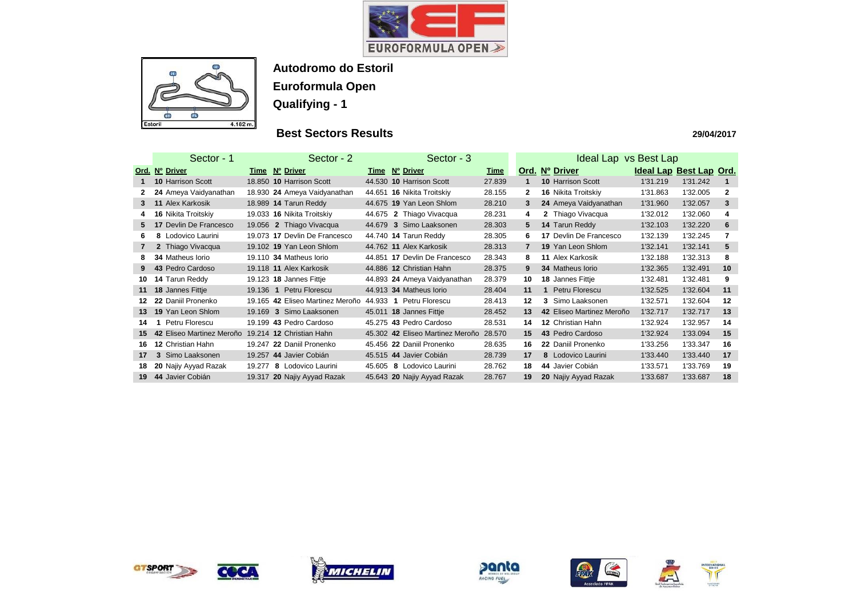



## **Best Sectors Results**

|                 | Sector - 1                | Sector - 2                                 | Sector - 3                       |             | Ideal Lap vs Best Lap |                               |                         |          |                |  |  |
|-----------------|---------------------------|--------------------------------------------|----------------------------------|-------------|-----------------------|-------------------------------|-------------------------|----------|----------------|--|--|
|                 | Ord. Nº Driver            | Time Nº Driver                             | Time Nº Driver                   | <u>Time</u> |                       | Ord. Nº Driver                | Ideal Lap Best Lap Ord. |          |                |  |  |
|                 | <b>10 Harrison Scott</b>  | 18.850 10 Harrison Scott                   | 44.530 10 Harrison Scott         | 27.839      | 1                     | <b>10 Harrison Scott</b>      | 1'31.219                | 1'31.242 |                |  |  |
| 2               | 24 Ameya Vaidyanathan     | 18.930 24 Ameya Vaidyanathan               | 44.651 16 Nikita Troitskiy       | 28.155      | $\mathbf{2}$          | 16 Nikita Troitskiy           | 1'31.863                | 1'32.005 | $\mathbf{2}$   |  |  |
| 3               | 11 Alex Karkosik          | 18.989 14 Tarun Reddy                      | 44.675 19 Yan Leon Shlom         | 28.210      | 3                     | 24 Ameya Vaidyanathan         | 1'31.960                | 1'32.057 | 3              |  |  |
| 4               | 16 Nikita Troitskiy       | 19.033 16 Nikita Troitskiy                 | 44.675 2 Thiago Vivacqua         | 28.231      | 4                     | 2 Thiago Vivacqua             | 1'32.012                | 1'32.060 | 4              |  |  |
| 5               | 17 Devlin De Francesco    | 19.056 2 Thiago Vivacqua                   | 44.679 3 Simo Laaksonen          | 28.303      | 5.                    | 14 Tarun Reddy                | 1'32.103                | 1'32.220 | 6              |  |  |
| 6               | 8 Lodovico Laurini        | 19.073 17 Devlin De Francesco              | 44.740 14 Tarun Reddy            | 28.305      | 6                     | <b>17 Devlin De Francesco</b> | 1'32.139                | 1'32.245 | $\overline{7}$ |  |  |
|                 | 2 Thiago Vivacqua         | 19.102 19 Yan Leon Shlom                   | 44.762 11 Alex Karkosik          | 28.313      | $\overline{7}$        | 19 Yan Leon Shlom             | 1'32.141                | 1'32.141 | 5              |  |  |
| 8               | <b>34 Matheus lorio</b>   | 19.110 34 Matheus Iorio                    | 44.851 17 Devlin De Francesco    | 28.343      | 8                     | 11 Alex Karkosik              | 1'32.188                | 1'32.313 | 8              |  |  |
| 9               | 43 Pedro Cardoso          | 19.118 11 Alex Karkosik                    | 44.886 12 Christian Hahn         | 28.375      | 9                     | <b>34 Matheus lorio</b>       | 1'32.365                | 1'32.491 | 10             |  |  |
| 10              | 14 Tarun Reddy            | 19.123 18 Jannes Fittje                    | 44.893 24 Ameya Vaidyanathan     | 28.379      | 10                    | 18 Jannes Fittje              | 1'32.481                | 1'32.481 | 9              |  |  |
| 11              | 18 Jannes Fittje          | Petru Florescu<br>19.136<br>$\overline{1}$ | 44.913 34 Matheus Iorio          | 28.404      | 11                    | Petru Florescu                | 1'32.525                | 1'32.604 | 11             |  |  |
| 12 <sup>1</sup> | 22 Daniil Pronenko        | 19.165 42 Eliseo Martinez Meroño           | 44.933 1 Petru Florescu          | 28.413      | $12 \,$               | Simo Laaksonen<br>3           | 1'32.571                | 1'32.604 | 12             |  |  |
| 13              | 19 Yan Leon Shlom         | 19.169 3 Simo Laaksonen                    | 45.011 18 Jannes Fittje          | 28.452      | 13                    | 42 Eliseo Martinez Meroño     | 1'32.717                | 1'32.717 | 13             |  |  |
| 14              | Petru Florescu            | 19.199 43 Pedro Cardoso                    | 45.275 43 Pedro Cardoso          | 28.531      | 14                    | 12 Christian Hahn             | 1'32.924                | 1'32.957 | 14             |  |  |
| 15              | 42 Eliseo Martinez Meroño | 19.214 12 Christian Hahn                   | 45.302 42 Eliseo Martinez Meroño | 28.570      | 15                    | 43 Pedro Cardoso              | 1'32.924                | 1'33.094 | 15             |  |  |
| 16              | 12 Christian Hahn         | 19.247 22 Daniil Pronenko                  | 45.456 22 Daniil Pronenko        | 28.635      | 16                    | 22 Daniil Pronenko            | 1'33.256                | 1'33.347 | 16             |  |  |
| 17              | 3 Simo Laaksonen          | 19.257 44 Javier Cobián                    | 45.515 44 Javier Cobián          | 28.739      | 17                    | 8 Lodovico Laurini            | 1'33.440                | 1'33.440 | 17             |  |  |
| 18              | 20 Najiy Ayyad Razak      | 19.277 8 Lodovico Laurini                  | 45.605<br>8 Lodovico Laurini     | 28.762      | 18                    | 44 Javier Cobián              | 1'33.571                | 1'33.769 | 19             |  |  |
| 19              | 44 Javier Cobián          | 19.317 20 Najiy Ayyad Razak                | 45.643 20 Najiy Ayyad Razak      | 28.767      | 19                    | 20 Najiy Ayyad Razak          | 1'33.687                | 1'33.687 | 18             |  |  |













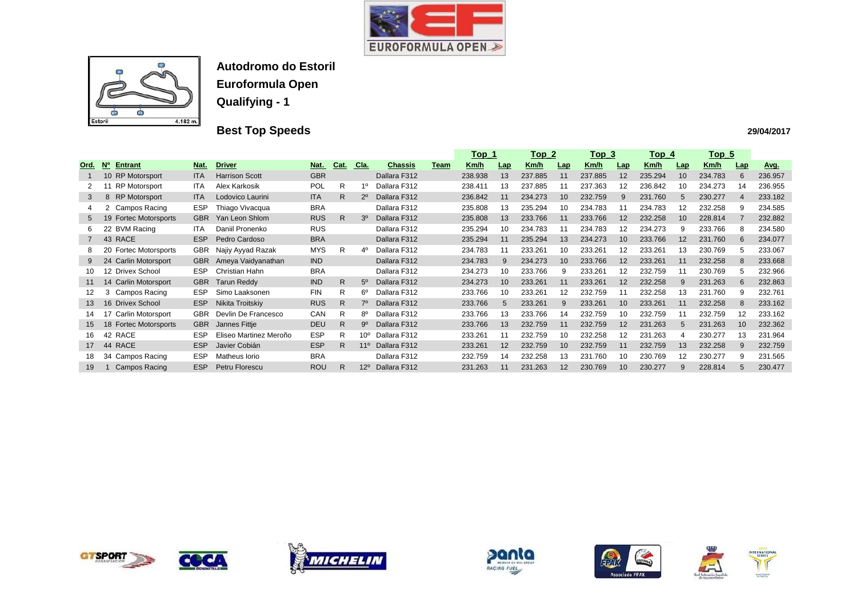



# **Best Top Speeds**

|                |                                 |            |                        |            |              |                 |                |      | <u>Top_1</u> |                   |             | <u>Top_2</u><br><u>Top 3</u> |             |            | <u>Top_4</u> |                   | <u>Top_5</u> |                |             |
|----------------|---------------------------------|------------|------------------------|------------|--------------|-----------------|----------------|------|--------------|-------------------|-------------|------------------------------|-------------|------------|--------------|-------------------|--------------|----------------|-------------|
| Ord.           | <b>Entrant</b><br><b>No</b>     | Nat.       | <b>Driver</b>          | <u>Nat</u> | Cat.         | <u>Cla.</u>     | <u>Chassis</u> | Team | <u>Km/h</u>  | Lap               | <u>Km/h</u> | <b>Lap</b>                   | <u>Km/h</u> | <b>Lap</b> | Km/h         | <u>Lap</u>        | Km/h         | Lap            | <u>Avg.</u> |
|                | 10 RP Motorsport                | <b>ITA</b> | <b>Harrison Scott</b>  | <b>GBR</b> |              |                 | Dallara F312   |      | 238.938      | 13                | 237.885     | 11                           | 237.885     | 12         | 235.294      | 10                | 234.783      | 6              | 236.957     |
|                | <b>RP Motorsport</b>            | <b>ITA</b> | Alex Karkosik          | <b>POL</b> | R            | 1º              | Dallara F312   |      | 238.411      | 13                | 237.885     |                              | 237.363     | 12         | 236.842      | 10                | 234.273      | 14             | 236.955     |
| 3              | <b>RP Motorsport</b><br>8       | <b>ITA</b> | Lodovico Laurini       | <b>ITA</b> | R.           | $2^{\circ}$     | Dallara F312   |      | 236.842      | 11                | 234.273     | 10                           | 232.759     | 9          | 231.760      | 5                 | 230.277      | $\overline{4}$ | 233.182     |
| 4              | Campos Racing                   | <b>ESP</b> | Thiago Vivacqua        | <b>BRA</b> |              |                 | Dallara F312   |      | 235.808      | 13                | 235.294     | 10                           | 234.783     |            | 234.783      | 12                | 232.258      | 9              | 234.585     |
| 5              | <b>Fortec Motorsports</b><br>19 | <b>GBR</b> | Yan Leon Shlom         | <b>RUS</b> | R.           | $3^{\circ}$     | Dallara F312   |      | 235.808      | 13                | 233.766     | 11                           | 233.766     | 12         | 232.258      | 10                | 228.814      |                | 232.882     |
| 6              | 22 BVM Racing                   | <b>ITA</b> | Daniil Pronenko        | <b>RUS</b> |              |                 | Dallara F312   |      | 235.294      | 10                | 234.783     |                              | 234.783     | 12         | 234.273      | 9                 | 233.766      | 8              | 234.580     |
| $\overline{7}$ | 43 RACE                         | <b>ESP</b> | Pedro Cardoso          | <b>BRA</b> |              |                 | Dallara F312   |      | 235.294      | 11                | 235.294     | 13                           | 234.273     | 10         | 233.766      | $12 \overline{ }$ | 231.760      | 6              | 234.077     |
| 8              | <b>Fortec Motorsports</b><br>20 | <b>GBR</b> | Najiy Ayyad Razak      | <b>MYS</b> | R.           | 40              | Dallara F312   |      | 234.783      |                   | 233.261     | 10                           | 233.261     | 12         | 233.261      | 13                | 230.769      | 5              | 233.067     |
| 9              | <b>Carlin Motorsport</b><br>24  | <b>GBR</b> | Ameya Vaidyanathan     | <b>IND</b> |              |                 | Dallara F312   |      | 234.783      | $\mathbf{Q}$      | 234.273     | 10                           | 233.766     | 12         | 233.261      | 11                | 232.258      | 8              | 233.668     |
| 10             | 12 Drivex School                | <b>ESP</b> | Christian Hahn         | <b>BRA</b> |              |                 | Dallara F312   |      | 234.273      | 10                | 233.766     | 9                            | 233.261     | 12         | 232.759      | 11                | 230.769      | 5              | 232.966     |
| 11             | <b>Carlin Motorsport</b><br>14  | <b>GBR</b> | <b>Tarun Reddy</b>     | <b>IND</b> | $\mathsf{R}$ | $5^{\circ}$     | Dallara F312   |      | 234.273      | 10                | 233.261     | 11                           | 233.261     | 12         | 232.258      | 9                 | 231.263      | 6              | 232.863     |
| 12             | <b>Campos Racing</b><br>3       | <b>ESP</b> | Simo Laaksonen         | <b>FIN</b> | R            | 6°              | Dallara F312   |      | 233.766      | 10                | 233.261     | 12                           | 232.759     | 11         | 232.258      | 13                | 231.760      | 9              | 232.761     |
| 13             | 16 Drivex School                | <b>ESP</b> | Nikita Troitskiy       | <b>RUS</b> | R            | $7^\circ$       | Dallara F312   |      | 233.766      | .5                | 233.261     | 9                            | 233.261     | 10         | 233.261      | 11                | 232.258      | 8              | 233.162     |
| 14             | 17 Carlin Motorsport            | <b>GBR</b> | Devlin De Francesco    | CAN        | R            | 8°              | Dallara F312   |      | 233.766      | 13                | 233.766     | 14                           | 232.759     | 10         | 232.759      | 11                | 232.759      | 12             | 233.162     |
| 15             | <b>Fortec Motorsports</b><br>18 | <b>GBR</b> | Jannes Fittje          | <b>DEU</b> | $\mathsf{R}$ | 9º              | Dallara F312   |      | 233.766      | 13                | 232.759     | 11                           | 232.759     | 12         | 231.263      | 5                 | 231.263      | 10             | 232.362     |
| 16             | 42 RACE                         | <b>ESP</b> | Eliseo Martinez Meroño | <b>ESP</b> | R            | $10^{\circ}$    | Dallara F312   |      | 233.261      |                   | 232.759     | 10                           | 232.258     | 12         | 231.263      | 4                 | 230.277      | 13             | 231.964     |
| 17             | <b>RACE</b><br>44               | <b>ESP</b> | Javier Cobián          | <b>ESP</b> | R            | 11 <sup>°</sup> | Dallara F312   |      | 233.261      | $12 \overline{ }$ | 232.759     | 10                           | 232.759     | 11         | 232.759      | 13                | 232.258      | 9              | 232.759     |
| 18             | 34 Campos Racing                | <b>ESP</b> | Matheus lorio          | <b>BRA</b> |              |                 | Dallara F312   |      | 232.759      | 14                | 232.258     | 13                           | 231.760     | 10         | 230.769      | 12                | 230.277      | 9              | 231.565     |
| 19             | <b>Campos Racing</b>            | <b>ESP</b> | Petru Florescu         | <b>ROU</b> | R            | $12^{\circ}$    | Dallara F312   |      | 231.263      |                   | 231.263     | 12                           | 230.769     | 10         | 230.277      | 9                 | 228.814      | 5              | 230.477     |













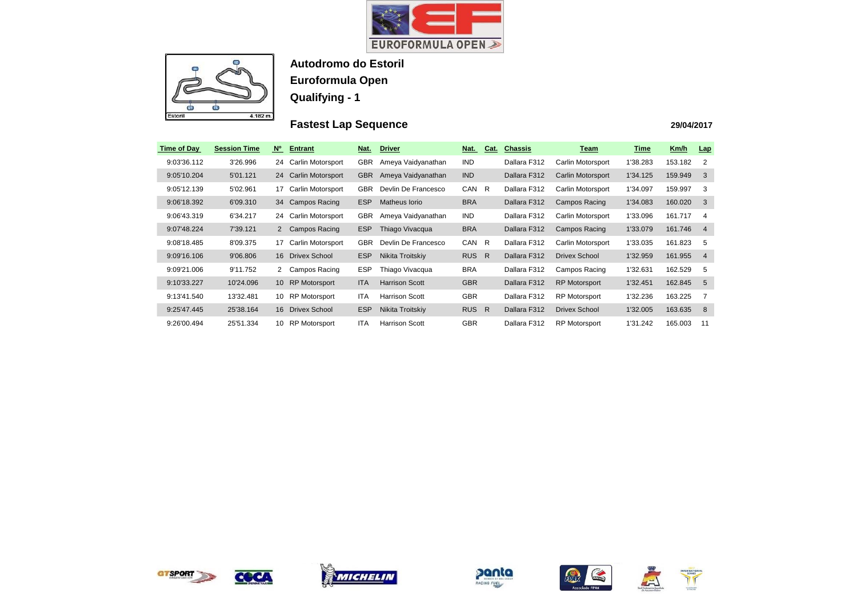



# **Fastest Lap Sequence**

| Time of Day | <b>Session Time</b> | N <sub>o</sub>  | <b>Entrant</b>           | Nat.       | <b>Driver</b>         | Nat.       | Cat.         | <b>Chassis</b> | <u>Team</u>          | <u>Time</u> | Km/h    | <u>Lap</u>     |
|-------------|---------------------|-----------------|--------------------------|------------|-----------------------|------------|--------------|----------------|----------------------|-------------|---------|----------------|
| 9:03'36.112 | 3'26.996            | 24              | Carlin Motorsport        | <b>GBR</b> | Ameya Vaidyanathan    | <b>IND</b> |              | Dallara F312   | Carlin Motorsport    | 1'38.283    | 153.182 | 2              |
| 9:05'10.204 | 5'01.121            | 24              | Carlin Motorsport        | <b>GBR</b> | Ameya Vaidyanathan    | <b>IND</b> |              | Dallara F312   | Carlin Motorsport    | 1'34.125    | 159.949 | -3             |
| 9:05'12.139 | 5'02.961            | 17              | Carlin Motorsport        | <b>GBR</b> | Devlin De Francesco   | CAN        | - R          | Dallara F312   | Carlin Motorsport    | 1'34.097    | 159.997 | 3              |
| 9:06'18.392 | 6'09.310            | 34              | Campos Racing            | <b>ESP</b> | Matheus Iorio         | <b>BRA</b> |              | Dallara F312   | Campos Racing        | 1'34.083    | 160.020 | 3              |
| 9:06'43.319 | 6'34.217            | 24              | Carlin Motorsport        | <b>GBR</b> | Ameya Vaidyanathan    | IND        |              | Dallara F312   | Carlin Motorsport    | 1'33.096    | 161.717 | 4              |
| 9:07'48.224 | 7'39.121            |                 | 2 Campos Racing          | <b>ESP</b> | Thiago Vivacqua       | <b>BRA</b> |              | Dallara F312   | Campos Racing        | 1'33.079    | 161.746 | -4             |
| 9:08'18.485 | 8'09.375            | 17              | <b>Carlin Motorsport</b> | <b>GBR</b> | Devlin De Francesco   | CAN        | R.           | Dallara F312   | Carlin Motorsport    | 1'33.035    | 161.823 | -5             |
| 9:09'16.106 | 9'06.806            | 16              | Drivex School            | <b>ESP</b> | Nikita Troitskiy      | <b>RUS</b> | $\mathsf{R}$ | Dallara F312   | Drivex School        | 1'32.959    | 161.955 | $\overline{4}$ |
| 9:09'21.006 | 9'11.752            | 2               | Campos Racing            | <b>ESP</b> | Thiago Vivacqua       | <b>BRA</b> |              | Dallara F312   | Campos Racing        | 1'32.631    | 162.529 | -5             |
| 9:10'33.227 | 10'24.096           | 10 <sup>°</sup> | <b>RP Motorsport</b>     | <b>ITA</b> | <b>Harrison Scott</b> | <b>GBR</b> |              | Dallara F312   | <b>RP Motorsport</b> | 1'32.451    | 162.845 | -5             |
| 9:13'41.540 | 13'32.481           | 10              | <b>RP Motorsport</b>     | ITA        | <b>Harrison Scott</b> | <b>GBR</b> |              | Dallara F312   | <b>RP Motorsport</b> | 1'32.236    | 163.225 | -7             |
| 9:25'47.445 | 25'38.164           | 16              | Drivex School            | <b>ESP</b> | Nikita Troitskiy      | <b>RUS</b> | R            | Dallara F312   | Drivex School        | 1'32.005    | 163.635 | - 8            |
| 9:26'00.494 | 25'51.334           | 10              | <b>RP Motorsport</b>     | <b>ITA</b> | <b>Harrison Scott</b> | <b>GBR</b> |              | Dallara F312   | <b>RP Motorsport</b> | 1'31.242    | 165.003 | 11             |



COCA







| Time     | Km/h    | <b>Lap</b> |
|----------|---------|------------|
| 1'38.283 | 153.182 | 2          |
| 1'34.125 | 159.949 | 3          |
| 1'34.097 | 159.997 | 3          |
| 1'34.083 | 160.020 | 3          |
| 1'33.096 | 161.717 | 4          |
| 1'33.079 | 161 746 | 4          |
| 1'33.035 | 161.823 | 5          |
| 1'32.959 | 161.955 | 4          |
| 1'32.631 | 162.529 | 5          |
| 1'32.451 | 162.845 | 5          |
| 1'32.236 | 163.225 | 7          |
| 1'32.005 | 163.635 | 8          |
| 1'31.242 | 165.003 | 11         |